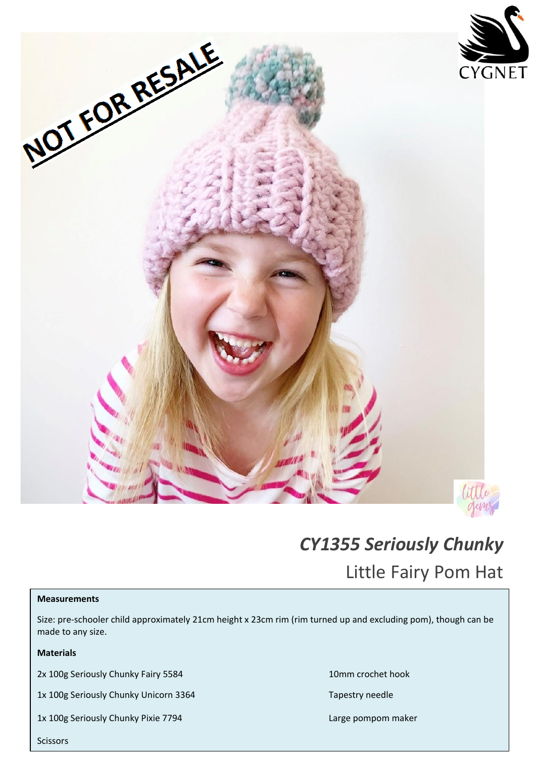

# *CY1355 Seriously Chunky*

Little Fairy Pom Hat

#### **Measurements**

Size: pre-schooler child approximately 21cm height x 23cm rim (rim turned up and excluding pom), though can be made to any size.

# **Materials**

2x 100g Seriously Chunky Fairy 5584 10mm crochet hook

1x 100g Seriously Chunky Unicorn 3364 Tapestry needle

1x 100g Seriously Chunky Pixie 7794 Large pompom maker

**Scissors**